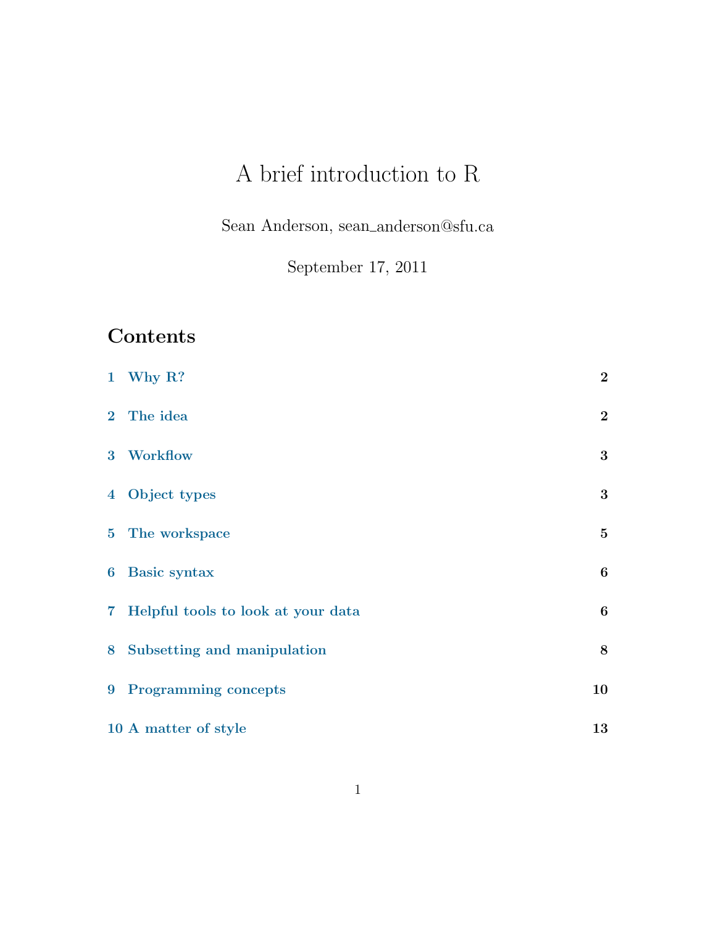# A brief introduction to R

Sean Anderson, sean anderson@sfu.ca

September 17, 2011

# Contents

|   | 1 Why $R$ ?                          | $\bf{2}$         |
|---|--------------------------------------|------------------|
|   | 2 The idea                           | $\bf{2}$         |
|   | 3 Workflow                           | 3                |
|   | 4 Object types                       | 3                |
|   | 5 The workspace                      | $\bf{5}$         |
|   | 6 Basic syntax                       | $6\phantom{1}6$  |
|   | 7 Helpful tools to look at your data | $\boldsymbol{6}$ |
| 8 | Subsetting and manipulation          | 8                |
|   | 9 Programming concepts               | 10               |
|   | 10 A matter of style                 | 13               |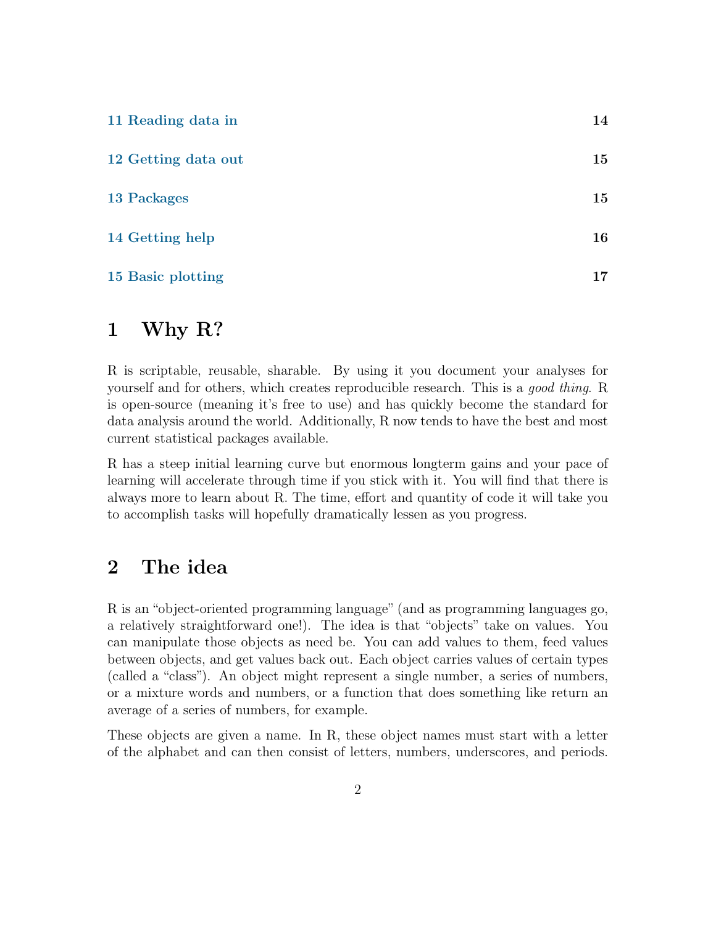| 11 Reading data in  | 14 |
|---------------------|----|
| 12 Getting data out | 15 |
| <b>13 Packages</b>  | 15 |
| 14 Getting help     | 16 |
| 15 Basic plotting   | 17 |

# <span id="page-1-0"></span>1 Why R?

R is scriptable, reusable, sharable. By using it you document your analyses for yourself and for others, which creates reproducible research. This is a good thing. R is open-source (meaning it's free to use) and has quickly become the standard for data analysis around the world. Additionally, R now tends to have the best and most current statistical packages available.

R has a steep initial learning curve but enormous longterm gains and your pace of learning will accelerate through time if you stick with it. You will find that there is always more to learn about R. The time, effort and quantity of code it will take you to accomplish tasks will hopefully dramatically lessen as you progress.

# <span id="page-1-1"></span>2 The idea

R is an "object-oriented programming language" (and as programming languages go, a relatively straightforward one!). The idea is that "objects" take on values. You can manipulate those objects as need be. You can add values to them, feed values between objects, and get values back out. Each object carries values of certain types (called a "class"). An object might represent a single number, a series of numbers, or a mixture words and numbers, or a function that does something like return an average of a series of numbers, for example.

These objects are given a name. In R, these object names must start with a letter of the alphabet and can then consist of letters, numbers, underscores, and periods.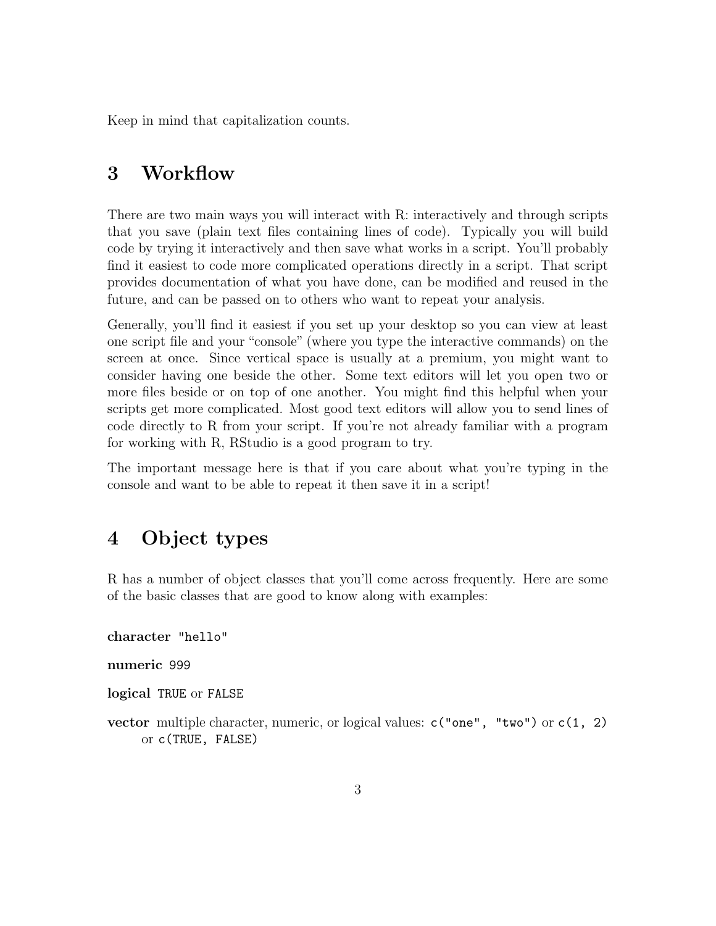Keep in mind that capitalization counts.

# <span id="page-2-0"></span>3 Workflow

There are two main ways you will interact with R: interactively and through scripts that you save (plain text files containing lines of code). Typically you will build code by trying it interactively and then save what works in a script. You'll probably find it easiest to code more complicated operations directly in a script. That script provides documentation of what you have done, can be modified and reused in the future, and can be passed on to others who want to repeat your analysis.

Generally, you'll find it easiest if you set up your desktop so you can view at least one script file and your "console" (where you type the interactive commands) on the screen at once. Since vertical space is usually at a premium, you might want to consider having one beside the other. Some text editors will let you open two or more files beside or on top of one another. You might find this helpful when your scripts get more complicated. Most good text editors will allow you to send lines of code directly to R from your script. If you're not already familiar with a program for working with R, RStudio is a good program to try.

The important message here is that if you care about what you're typing in the console and want to be able to repeat it then save it in a script!

# <span id="page-2-1"></span>4 Object types

R has a number of object classes that you'll come across frequently. Here are some of the basic classes that are good to know along with examples:

character "hello"

numeric 999

logical TRUE or FALSE

vector multiple character, numeric, or logical values: c("one", "two") or c(1, 2) or c(TRUE, FALSE)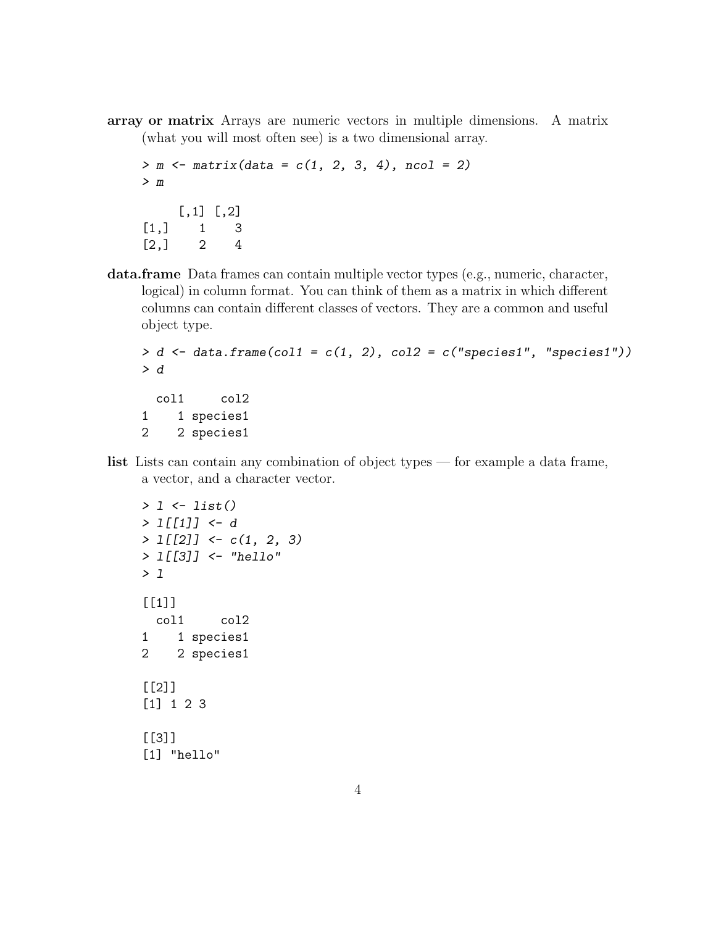array or matrix Arrays are numeric vectors in multiple dimensions. A matrix (what you will most often see) is a two dimensional array.

```
> m \le matrix(data = c(1, 2, 3, 4), ncol = 2)
> m
    [,1] [,2][1,] 1 3[2,] 2 4
```
data.frame Data frames can contain multiple vector types (e.g., numeric, character, logical) in column format. You can think of them as a matrix in which different columns can contain different classes of vectors. They are a common and useful object type.

```
> d \leq data.frame(col1 = c(1, 2), col2 = c("species1", "species1"))
> dcol1 col2
1 1 species1
2 2 species1
```
list Lists can contain any combination of object types — for example a data frame, a vector, and a character vector.

```
> 1 \leftarrow list()> l[[1]] <- d
> 1[[2]] \leftarrow c(1, 2, 3)> l[[3]] <- "hello"
> 1[[1]]
  col1 col2
1 1 species1
2 2 species1
[[2]]
[1] 1 2 3
[[3]]
[1] "hello"
```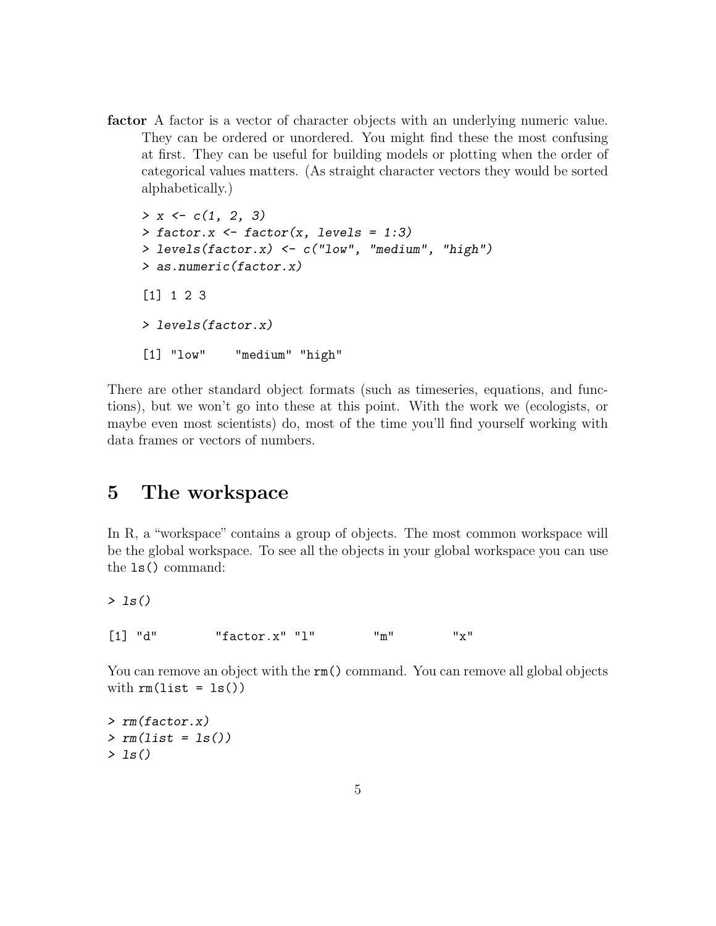factor A factor is a vector of character objects with an underlying numeric value. They can be ordered or unordered. You might find these the most confusing at first. They can be useful for building models or plotting when the order of categorical values matters. (As straight character vectors they would be sorted alphabetically.)

```
> x \leftarrow c(1, 2, 3)> factor.x \le factor(x, levels = 1:3)
> levels(factor.x) <- c("low", "medium", "high")
> as.numeric(factor.x)
[1] 1 2 3
> levels(factor.x)
[1] "low" "medium" "high"
```
There are other standard object formats (such as timeseries, equations, and functions), but we won't go into these at this point. With the work we (ecologists, or maybe even most scientists) do, most of the time you'll find yourself working with data frames or vectors of numbers.

# <span id="page-4-0"></span>5 The workspace

In R, a "workspace" contains a group of objects. The most common workspace will be the global workspace. To see all the objects in your global workspace you can use the ls() command:

 $> 1s()$ 

 $[1]$  "d" "factor.x" "l" "m" "x"

You can remove an object with the  $rm)$  command. You can remove all global objects with  $rm(list = ls())$ 

```
> rm(factor.x)
> rm(list = ls())> 1s()
```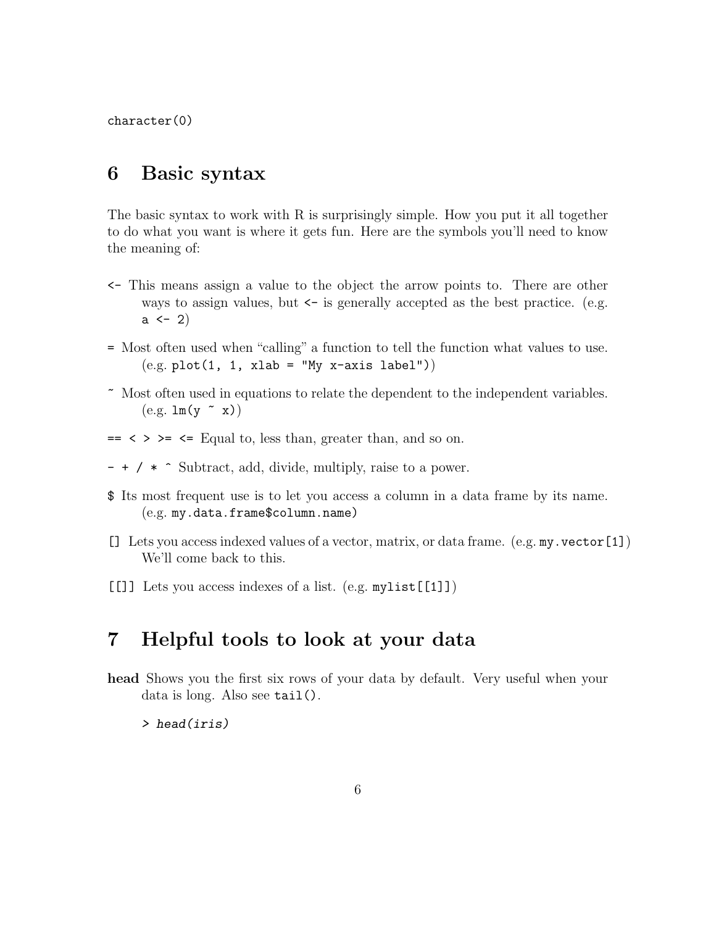character(0)

### <span id="page-5-0"></span>6 Basic syntax

The basic syntax to work with R is surprisingly simple. How you put it all together to do what you want is where it gets fun. Here are the symbols you'll need to know the meaning of:

- <- This means assign a value to the object the arrow points to. There are other ways to assign values, but  $\leq$  is generally accepted as the best practice. (e.g.  $a \leftarrow 2$
- = Most often used when "calling" a function to tell the function what values to use.  $(e.g. plot(1, 1, xlab = "My x-axis label"))$
- ~ Most often used in equations to relate the dependent to the independent variables.  $(e.g. \ln(y \sim x))$
- $\Rightarrow$   $\leq$   $\geq$   $\leq$  Equal to, less than, greater than, and so on.
- + / \* ^ Subtract, add, divide, multiply, raise to a power.
- \$ Its most frequent use is to let you access a column in a data frame by its name. (e.g. my.data.frame\$column.name)
- [] Lets you access indexed values of a vector, matrix, or data frame. (e.g. my.vector[1]) We'll come back to this.
- [[]] Lets you access indexes of a list. (e.g. mylist[[1]])

# <span id="page-5-1"></span>7 Helpful tools to look at your data

head Shows you the first six rows of your data by default. Very useful when your data is long. Also see tail().

> head(iris)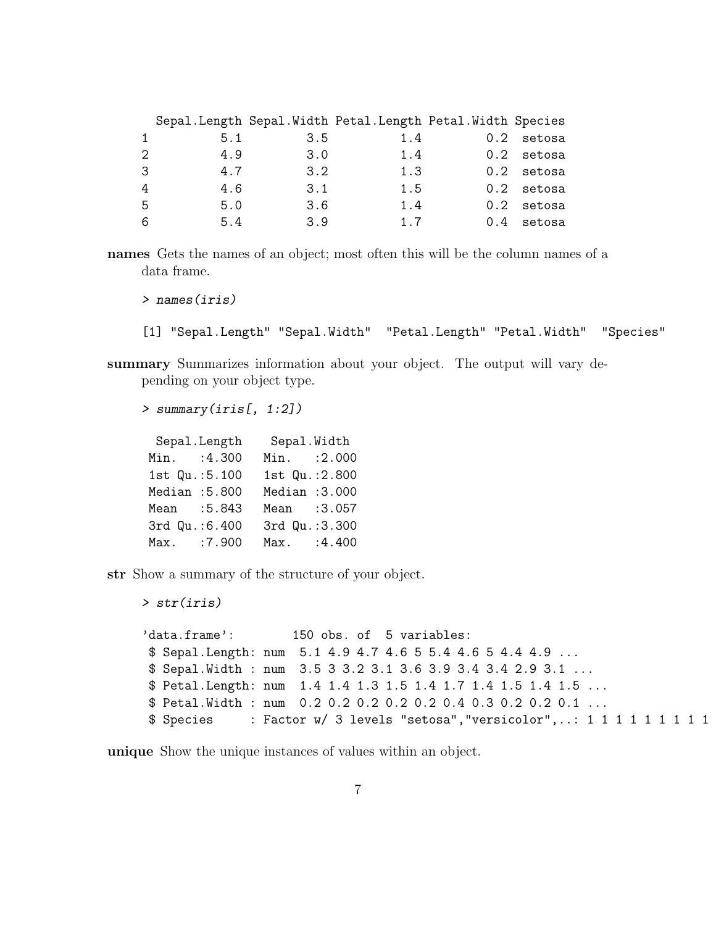|                             |     |     | Sepal.Length Sepal.Width Petal.Length Petal.Width Species |               |              |
|-----------------------------|-----|-----|-----------------------------------------------------------|---------------|--------------|
| $\mathbf{1}$                | 5.1 | 3.5 | 1.4                                                       | $0.2^{\circ}$ | setosa       |
| $\mathcal{D}_{\mathcal{L}}$ | 4.9 | 3.0 | 1.4                                                       |               | $0.2$ setosa |
| 3                           | 4.7 | 3.2 | 1.3                                                       |               | $0.2$ setosa |
| 4                           | 4.6 | 3.1 | 1.5                                                       |               | $0.2$ setosa |
| 5                           | 5.0 | 3.6 | 1.4                                                       |               | $0.2$ setosa |
| 6                           | 5.4 | 3.9 | 1.7                                                       |               | $0.4$ setosa |

names Gets the names of an object; most often this will be the column names of a data frame.

> names(iris)

> str(iris)

[1] "Sepal.Length" "Sepal.Width" "Petal.Length" "Petal.Width" "Species"

summary Summarizes information about your object. The output will vary depending on your object type.

> summary(iris[, 1:2])

Sepal.Length Sepal.Width Min. : 4.300 Min. : 2.000 1st Qu.:5.100 1st Qu.:2.800 Median :5.800 Median :3.000 Mean :5.843 Mean :3.057 3rd Qu.:6.400 3rd Qu.:3.300 Max. :7.900 Max. :4.400

str Show a summary of the structure of your object.

```
'data.frame': 150 obs. of 5 variables:
$ Sepal.Length: num 5.1 4.9 4.7 4.6 5 5.4 4.6 5 4.4 4.9 ...
$ Sepal.Width : num 3.5 3 3.2 3.1 3.6 3.9 3.4 3.4 2.9 3.1 ...
$ Petal.Length: num 1.4 1.4 1.3 1.5 1.4 1.7 1.4 1.5 1.4 1.5 ...
$ Petal.Width : num 0.2 0.2 0.2 0.2 0.2 0.4 0.3 0.2 0.2 0.1 ...
$ Species : Factor w/ 3 levels "setosa", "versicolor",..: 1 1 1 1 1 1 1 1 1 1
```
unique Show the unique instances of values within an object.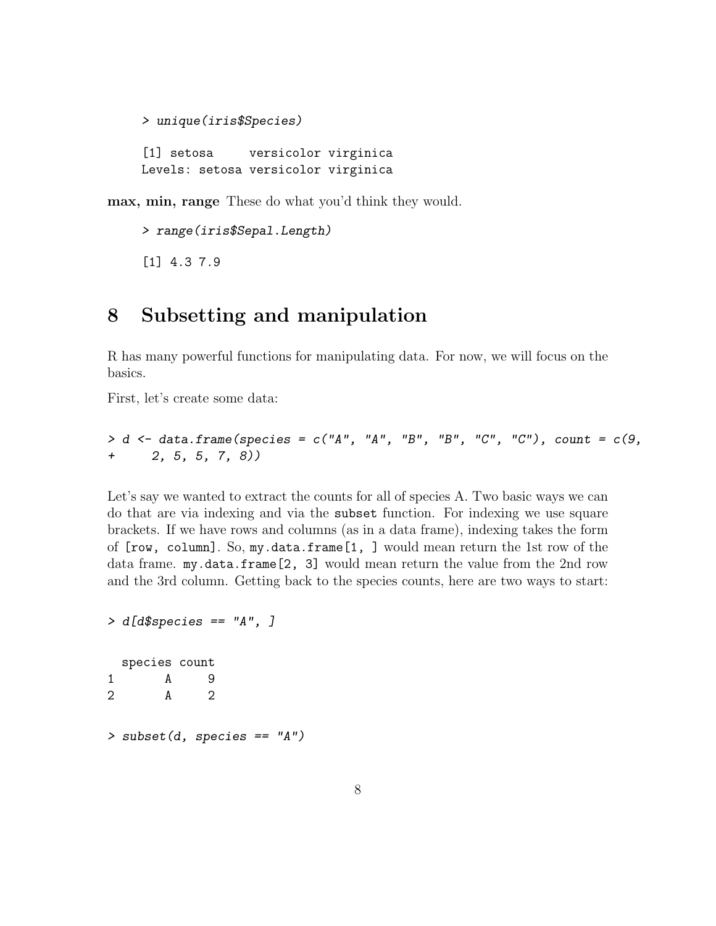```
> unique(iris$Species)
[1] setosa versicolor virginica
Levels: setosa versicolor virginica
```
max, min, range These do what you'd think they would.

```
> range(iris$Sepal.Length)
[1] 4.3 7.9
```
# <span id="page-7-0"></span>8 Subsetting and manipulation

R has many powerful functions for manipulating data. For now, we will focus on the basics.

First, let's create some data:

```
> d <- data.frame(species = c("A", "A", "B", "B", "C", "C"), count = c(9,+ 2, 5, 5, 7, 8))
```
Let's say we wanted to extract the counts for all of species A. Two basic ways we can do that are via indexing and via the subset function. For indexing we use square brackets. If we have rows and columns (as in a data frame), indexing takes the form of [row, column]. So, my.data.frame[1, ] would mean return the 1st row of the data frame. my.data.frame[2, 3] would mean return the value from the 2nd row and the 3rd column. Getting back to the species counts, here are two ways to start:

```
> d[d$species == "A", ]
 species count
1 A 9
2 A 2
> subset(d, species == "A")
```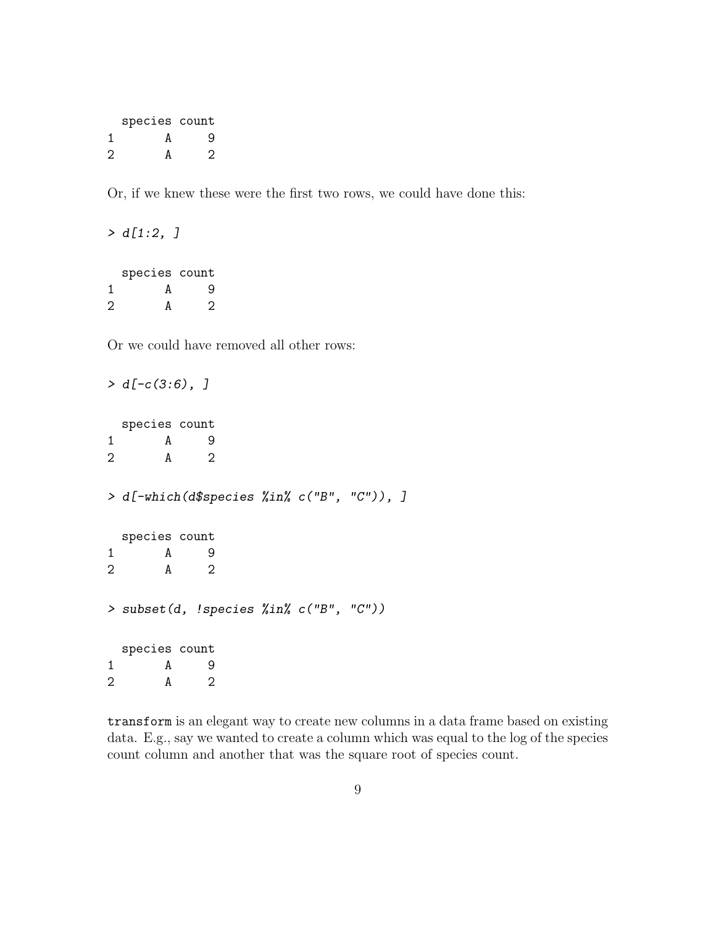|                   | species count |         |  |
|-------------------|---------------|---------|--|
| 1                 | А             | 9       |  |
| $\mathcal{D}_{1}$ | A             | $\cdot$ |  |

Or, if we knew these were the first two rows, we could have done this:

 $> d[1:2, ]$ species count 1 A 9 2 A 2

Or we could have removed all other rows:

```
> d[-c(3:6), ]species count
1 A 9
2 A 2
> d[-which(d$species %in% c("B", "C")), ]
 species count
1 A 9
2 A 2
> subset(d, !species %in% c("B", "C"))
 species count
1 A 9
2 A 2
```
transform is an elegant way to create new columns in a data frame based on existing data. E.g., say we wanted to create a column which was equal to the log of the species count column and another that was the square root of species count.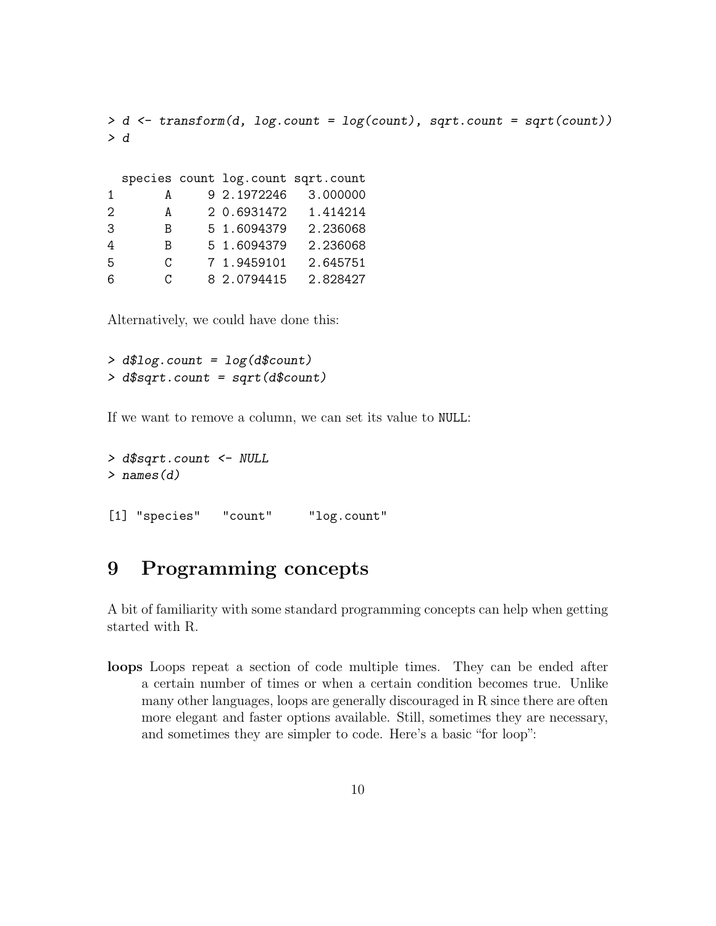```
> d <- transform(d, log.count = log(count), sqrt.count = sqrt(count))
> d
```

|                             |   |             | species count log.count sqrt.count |
|-----------------------------|---|-------------|------------------------------------|
| 1                           | А | 9 2.1972246 | 3.000000                           |
| $\mathcal{D}_{\mathcal{L}}$ | A | 2 0.6931472 | 1.414214                           |
| 3                           | B | 5 1.6094379 | 2.236068                           |
| 4                           | B | 5 1.6094379 | 2.236068                           |
| .5                          | C | 7 1.9459101 | 2.645751                           |
| 6                           | C | 8 2.0794415 | 2.828427                           |

Alternatively, we could have done this:

```
> d$log.count = log(d$count)
> d$sqrt.count = sqrt(d$count)
```
If we want to remove a column, we can set its value to NULL:

```
> d$sqrt.count <- NULL
> names(d)
```

```
[1] "species" "count" "log.count"
```
# <span id="page-9-0"></span>9 Programming concepts

A bit of familiarity with some standard programming concepts can help when getting started with R.

loops Loops repeat a section of code multiple times. They can be ended after a certain number of times or when a certain condition becomes true. Unlike many other languages, loops are generally discouraged in R since there are often more elegant and faster options available. Still, sometimes they are necessary, and sometimes they are simpler to code. Here's a basic "for loop":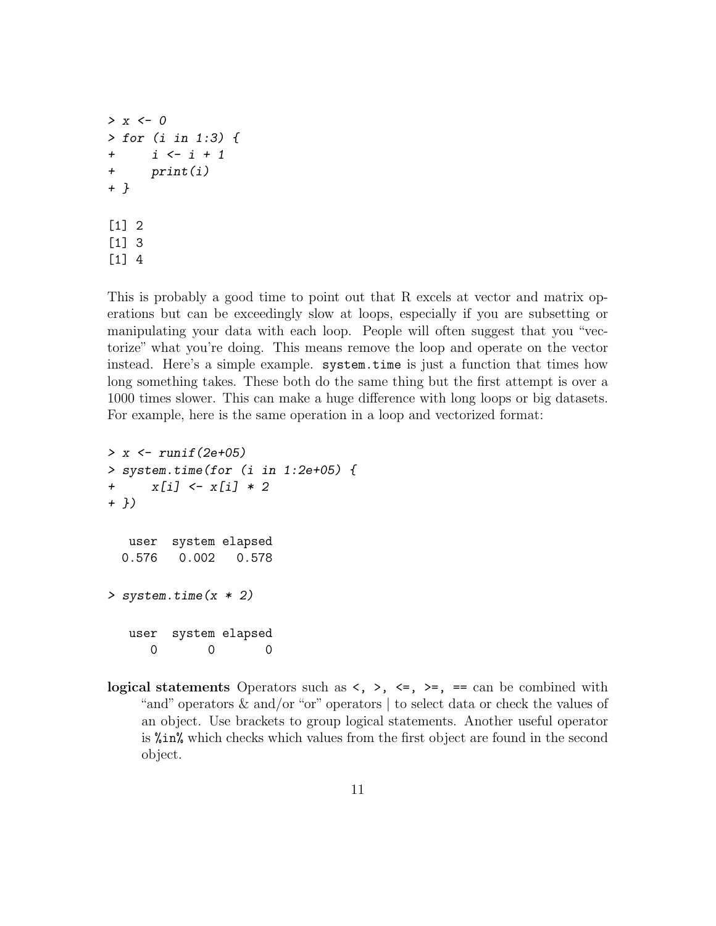```
> x < - 0> for (i in 1:3) {
+ i <- i + 1
+ print(i)
+ }
[1] 2
[1] 3
[1] 4
```
This is probably a good time to point out that R excels at vector and matrix operations but can be exceedingly slow at loops, especially if you are subsetting or manipulating your data with each loop. People will often suggest that you "vectorize" what you're doing. This means remove the loop and operate on the vector instead. Here's a simple example. system.time is just a function that times how long something takes. These both do the same thing but the first attempt is over a 1000 times slower. This can make a huge difference with long loops or big datasets. For example, here is the same operation in a loop and vectorized format:

```
> x \leftarrow runif(2e+05)> system.time(for (i in 1:2e+05) {
+ x[i] \leftarrow x[i] * 2+ })
  user system elapsed
 0.576 0.002 0.578
> system.time(x * 2)
  user system elapsed
      0 0 0
```
logical statements Operators such as  $\langle , \rangle$ ,  $\langle = , \rangle$  =, == can be combined with "and" operators & and/or "or" operators | to select data or check the values of an object. Use brackets to group logical statements. Another useful operator is %in% which checks which values from the first object are found in the second object.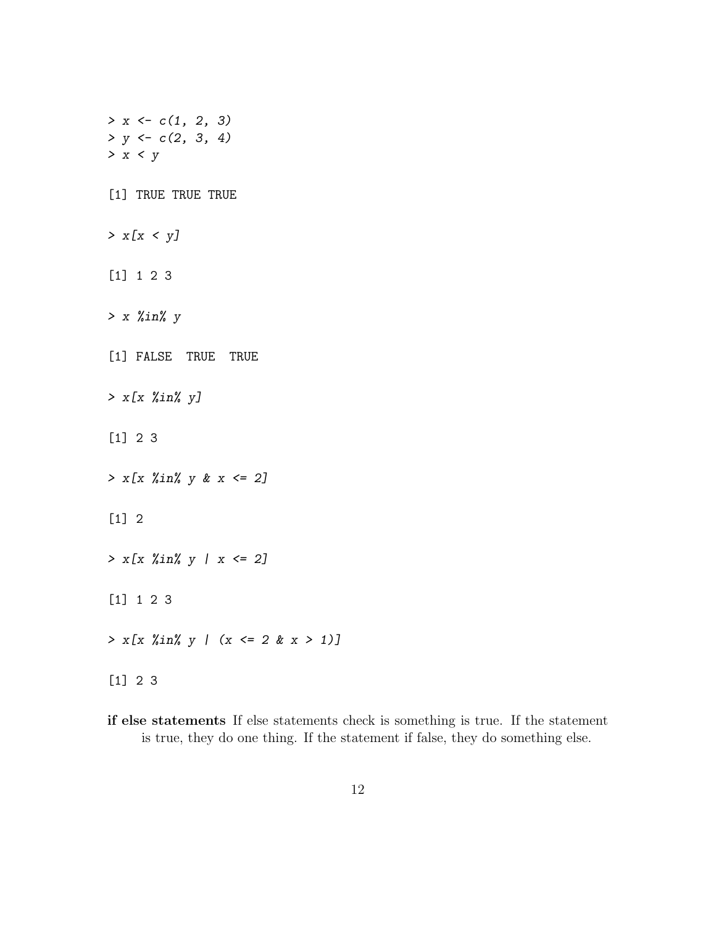$> x < -c(1, 2, 3)$  $> y \leftarrow c(2, 3, 4)$  $> x < y$ [1] TRUE TRUE TRUE  $> x[x < y]$ [1] 1 2 3  $> x$  % $in$ % y [1] FALSE TRUE TRUE > x[x %in% y] [1] 2 3  $> x[x \; \text{\%in\%} y \; \text{\&} \; x \; \text{\&} \; 2]$ [1] 2  $> x[x \; \text{\%in\% y} \; | \; x \leq 2]$ [1] 1 2 3  $> x[x \; %in\; y \; ] \; (x \le -2 \; & x > 1)]$ [1] 2 3

if else statements If else statements check is something is true. If the statement is true, they do one thing. If the statement if false, they do something else.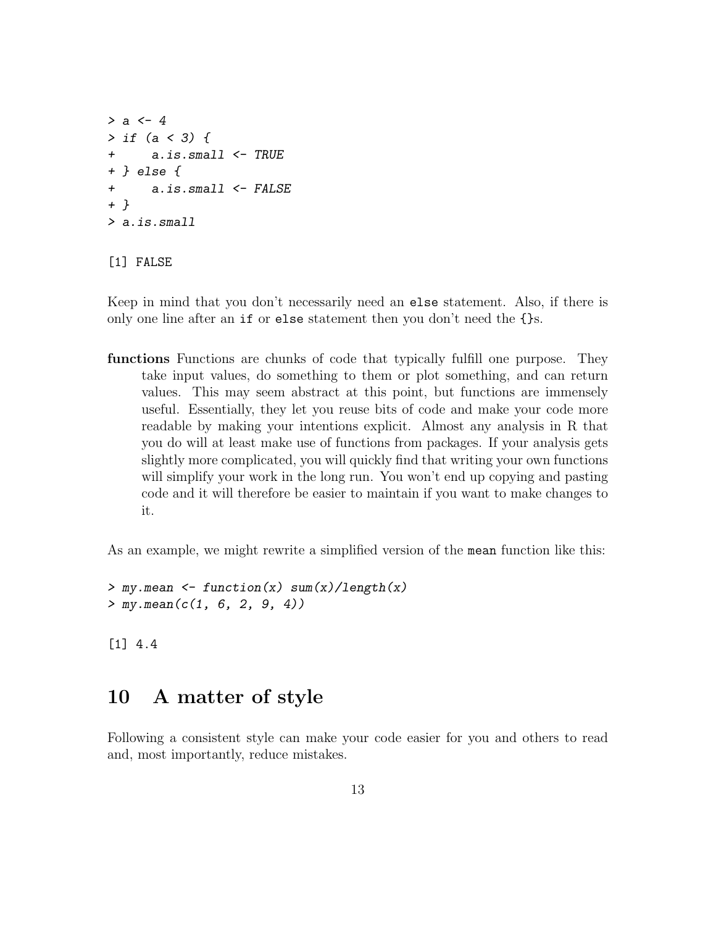```
> a < - 4> if (a < 3) {
+ a.is.small <- TRUE
+ } else {
+ a.is.small <- FALSE
+ }
> a.is.small
```
#### [1] FALSE

Keep in mind that you don't necessarily need an else statement. Also, if there is only one line after an if or else statement then you don't need the {}s.

functions Functions are chunks of code that typically fulfill one purpose. They take input values, do something to them or plot something, and can return values. This may seem abstract at this point, but functions are immensely useful. Essentially, they let you reuse bits of code and make your code more readable by making your intentions explicit. Almost any analysis in R that you do will at least make use of functions from packages. If your analysis gets slightly more complicated, you will quickly find that writing your own functions will simplify your work in the long run. You won't end up copying and pasting code and it will therefore be easier to maintain if you want to make changes to it.

As an example, we might rewrite a simplified version of the mean function like this:

```
> my.mean \leq function(x) sum(x)/length(x)
> my.macan(c(1, 6, 2, 9, 4))
```
[1] 4.4

### <span id="page-12-0"></span>10 A matter of style

Following a consistent style can make your code easier for you and others to read and, most importantly, reduce mistakes.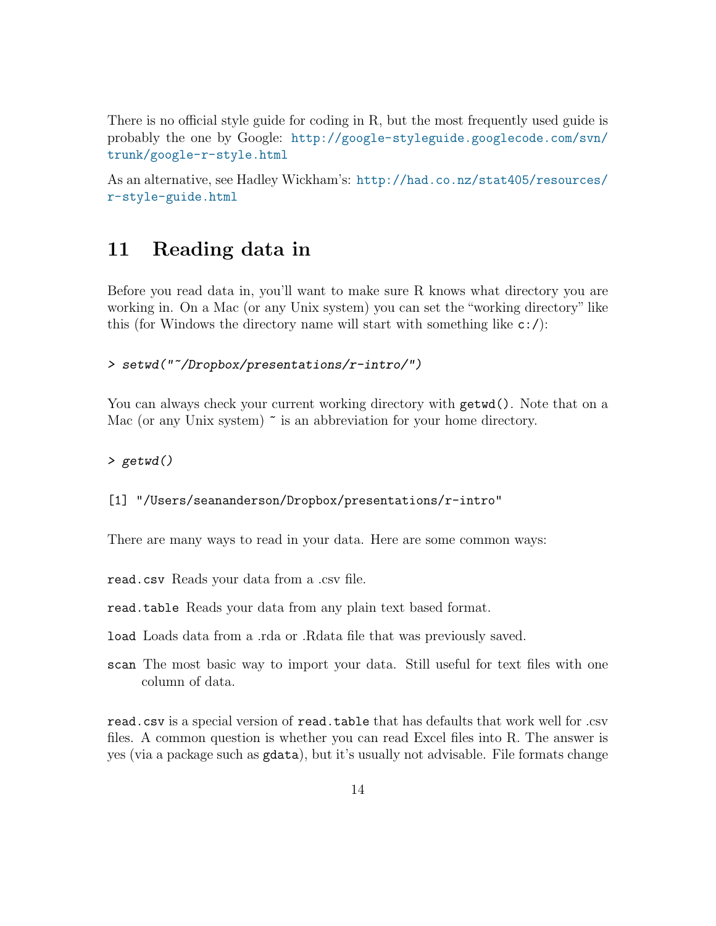There is no official style guide for coding in R, but the most frequently used guide is probably the one by Google: [http://google-styleguide.googlecode.com/svn/](http://google-styleguide.googlecode.com/svn/trunk/google-r-style.html) [trunk/google-r-style.html](http://google-styleguide.googlecode.com/svn/trunk/google-r-style.html)

As an alternative, see Hadley Wickham's: [http://had.co.nz/stat405/resources/](http://had.co.nz/stat405/resources/r-style-guide.html) [r-style-guide.html](http://had.co.nz/stat405/resources/r-style-guide.html)

## <span id="page-13-0"></span>11 Reading data in

Before you read data in, you'll want to make sure R knows what directory you are working in. On a Mac (or any Unix system) you can set the "working directory" like this (for Windows the directory name will start with something like  $c:$  /):

#### > setwd("~/Dropbox/presentations/r-intro/")

You can always check your current working directory with  $\text{getwd}()$ . Note that on a Mac (or any Unix system)  $\tilde{\phantom{a}}$  is an abbreviation for your home directory.

#### > getwd()

#### [1] "/Users/seananderson/Dropbox/presentations/r-intro"

There are many ways to read in your data. Here are some common ways:

read.csv Reads your data from a .csv file.

read.table Reads your data from any plain text based format.

load Loads data from a .rda or .Rdata file that was previously saved.

scan The most basic way to import your data. Still useful for text files with one column of data.

read.csv is a special version of read.table that has defaults that work well for .csv files. A common question is whether you can read Excel files into R. The answer is yes (via a package such as gdata), but it's usually not advisable. File formats change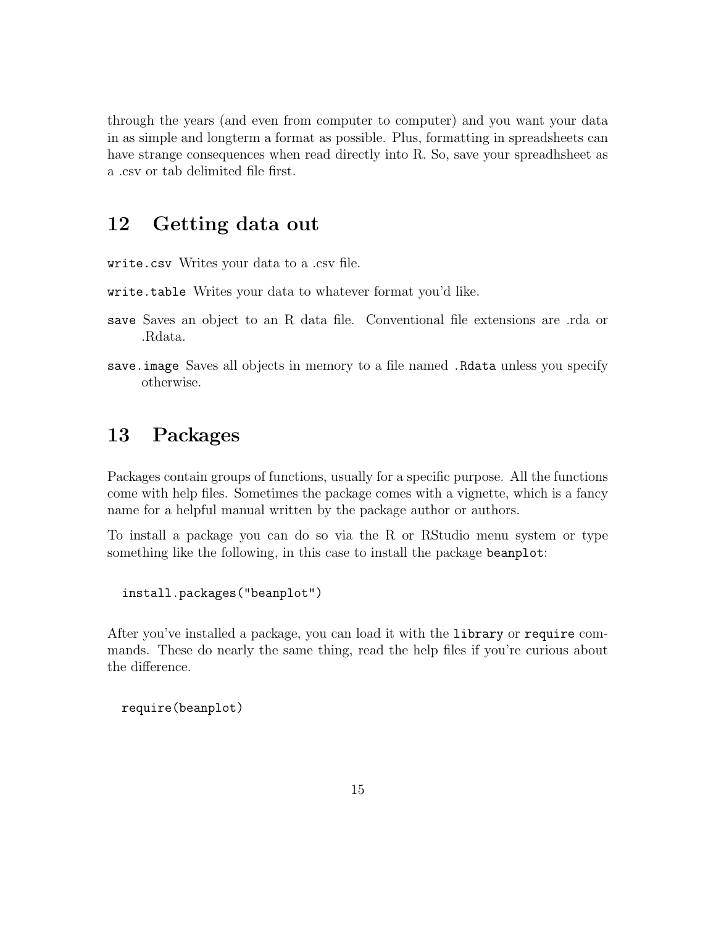through the years (and even from computer to computer) and you want your data in as simple and longterm a format as possible. Plus, formatting in spreadsheets can have strange consequences when read directly into R. So, save your spreadhsheet as a .csv or tab delimited file first.

### <span id="page-14-0"></span>12 Getting data out

write.csv Writes your data to a .csv file.

- write.table Writes your data to whatever format you'd like.
- save Saves an object to an R data file. Conventional file extensions are .rda or .Rdata.
- save.image Saves all objects in memory to a file named .Rdata unless you specify otherwise.

# <span id="page-14-1"></span>13 Packages

Packages contain groups of functions, usually for a specific purpose. All the functions come with help files. Sometimes the package comes with a vignette, which is a fancy name for a helpful manual written by the package author or authors.

To install a package you can do so via the R or RStudio menu system or type something like the following, in this case to install the package beanplot:

```
install.packages("beanplot")
```
After you've installed a package, you can load it with the library or require commands. These do nearly the same thing, read the help files if you're curious about the difference.

```
require(beanplot)
```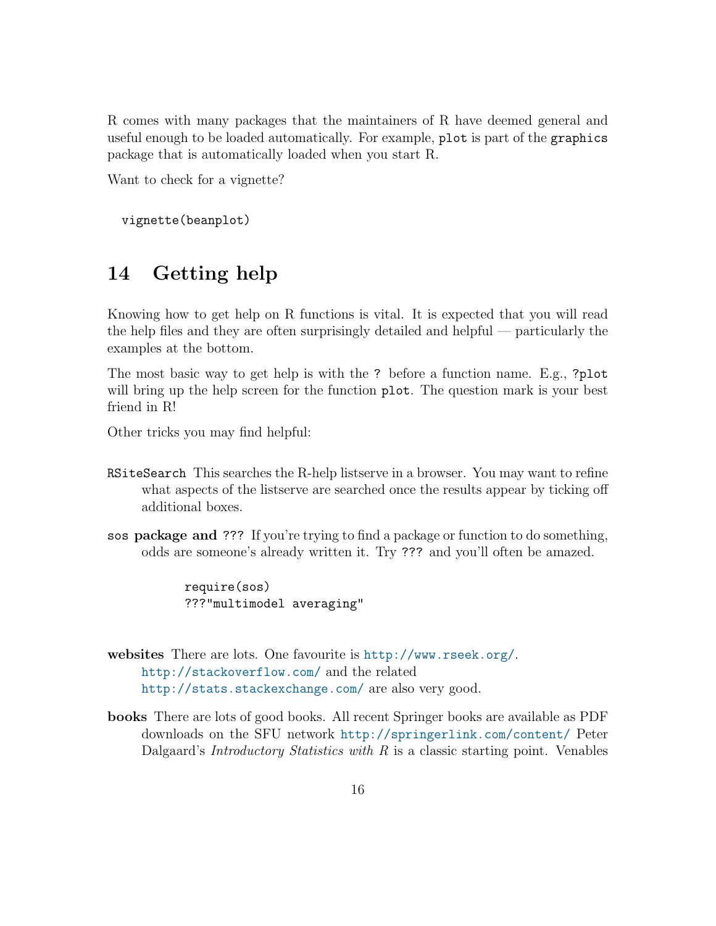R comes with many packages that the maintainers of R have deemed general and useful enough to be loaded automatically. For example, plot is part of the graphics package that is automatically loaded when you start R.

Want to check for a vignette?

vignette(beanplot)

# <span id="page-15-0"></span>14 Getting help

Knowing how to get help on R functions is vital. It is expected that you will read the help files and they are often surprisingly detailed and helpful — particularly the examples at the bottom.

The most basic way to get help is with the ? before a function name. E.g., ?plot will bring up the help screen for the function plot. The question mark is your best friend in R!

Other tricks you may find helpful:

- RSiteSearch This searches the R-help listserve in a browser. You may want to refine what aspects of the listserve are searched once the results appear by ticking off additional boxes.
- sos package and ??? If you're trying to find a package or function to do something, odds are someone's already written it. Try ??? and you'll often be amazed.

require(sos) ???"multimodel averaging"

websites There are lots. One favourite is <http://www.rseek.org/>. <http://stackoverflow.com/> and the related <http://stats.stackexchange.com/> are also very good.

books There are lots of good books. All recent Springer books are available as PDF downloads on the SFU network <http://springerlink.com/content/> Peter Dalgaard's *Introductory Statistics with*  $R$  is a classic starting point. Venables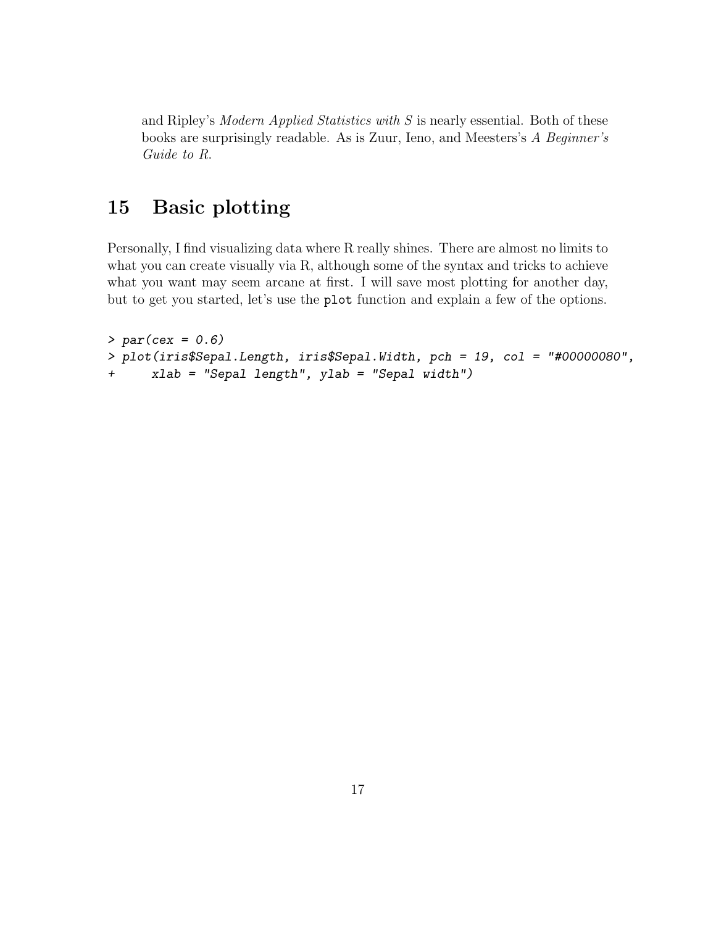and Ripley's Modern Applied Statistics with S is nearly essential. Both of these books are surprisingly readable. As is Zuur, Ieno, and Meesters's A Beginner's Guide to R.

# <span id="page-16-0"></span>15 Basic plotting

Personally, I find visualizing data where R really shines. There are almost no limits to what you can create visually via R, although some of the syntax and tricks to achieve what you want may seem arcane at first. I will save most plotting for another day, but to get you started, let's use the plot function and explain a few of the options.

```
> par(cex = 0.6)> plot(iris$Sepal.Length, iris$Sepal.Width, pch = 19, col = "#00000080",
+ xlab = "Sepal length", ylab = "Sepal width")
```